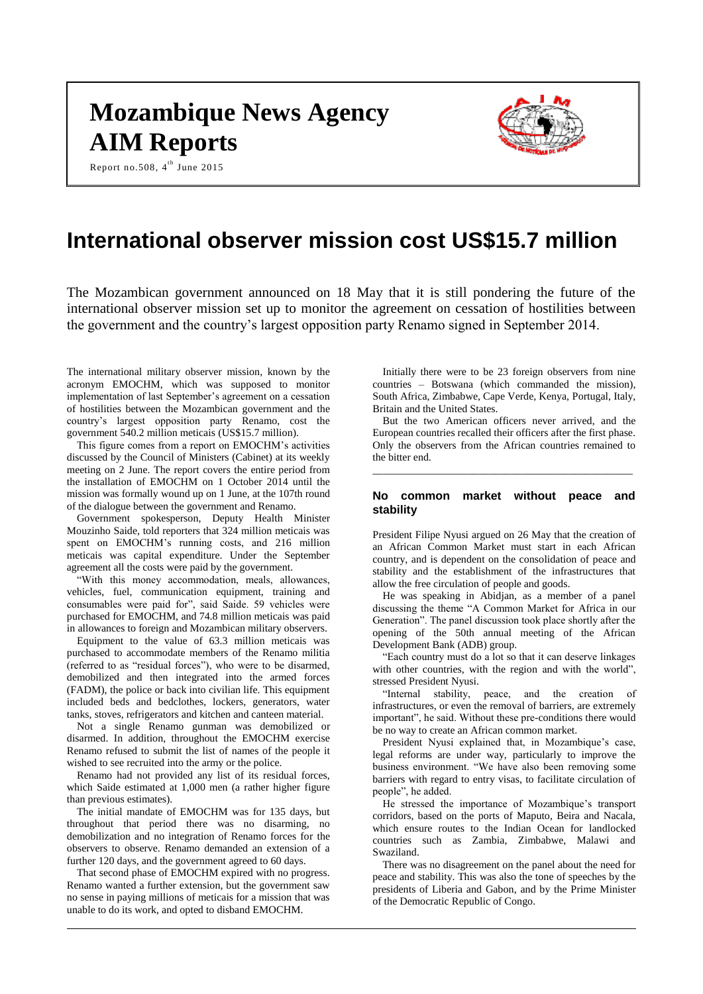# **Mozambique News Agency AIM Reports**





## **International observer mission cost US\$15.7 million**

The Mozambican government announced on 18 May that it is still pondering the future of the international observer mission set up to monitor the agreement on cessation of hostilities between the government and the country's largest opposition party Renamo signed in September 2014.

The international military observer mission, known by the acronym EMOCHM, which was supposed to monitor implementation of last September's agreement on a cessation of hostilities between the Mozambican government and the country's largest opposition party Renamo, cost the government 540.2 million meticais (US\$15.7 million).

This figure comes from a report on EMOCHM's activities discussed by the Council of Ministers (Cabinet) at its weekly meeting on 2 June. The report covers the entire period from the installation of EMOCHM on 1 October 2014 until the mission was formally wound up on 1 June, at the 107th round of the dialogue between the government and Renamo.

Government spokesperson, Deputy Health Minister Mouzinho Saide, told reporters that 324 million meticais was spent on EMOCHM's running costs, and 216 million meticais was capital expenditure. Under the September agreement all the costs were paid by the government.

"With this money accommodation, meals, allowances, vehicles, fuel, communication equipment, training and consumables were paid for", said Saide. 59 vehicles were purchased for EMOCHM, and 74.8 million meticais was paid in allowances to foreign and Mozambican military observers.

Equipment to the value of 63.3 million meticais was purchased to accommodate members of the Renamo militia (referred to as "residual forces"), who were to be disarmed, demobilized and then integrated into the armed forces (FADM), the police or back into civilian life. This equipment included beds and bedclothes, lockers, generators, water tanks, stoves, refrigerators and kitchen and canteen material.

Not a single Renamo gunman was demobilized or disarmed. In addition, throughout the EMOCHM exercise Renamo refused to submit the list of names of the people it wished to see recruited into the army or the police.

Renamo had not provided any list of its residual forces, which Saide estimated at 1,000 men (a rather higher figure than previous estimates).

The initial mandate of EMOCHM was for 135 days, but throughout that period there was no disarming, no demobilization and no integration of Renamo forces for the observers to observe. Renamo demanded an extension of a further 120 days, and the government agreed to 60 days.

That second phase of EMOCHM expired with no progress. Renamo wanted a further extension, but the government saw no sense in paying millions of meticais for a mission that was unable to do its work, and opted to disband EMOCHM.

Initially there were to be 23 foreign observers from nine countries – Botswana (which commanded the mission), South Africa, Zimbabwe, Cape Verde, Kenya, Portugal, Italy, Britain and the United States.

But the two American officers never arrived, and the European countries recalled their officers after the first phase. Only the observers from the African countries remained to the bitter end.

\_\_\_\_\_\_\_\_\_\_\_\_\_\_\_\_\_\_\_\_\_\_\_\_\_\_\_\_\_\_\_\_\_\_\_\_\_\_\_\_\_\_\_\_\_\_\_\_\_

#### **No common market without peace and stability**

President Filipe Nyusi argued on 26 May that the creation of an African Common Market must start in each African country, and is dependent on the consolidation of peace and stability and the establishment of the infrastructures that allow the free circulation of people and goods.

He was speaking in Abidjan, as a member of a panel discussing the theme "A Common Market for Africa in our Generation". The panel discussion took place shortly after the opening of the 50th annual meeting of the African Development Bank (ADB) group.

"Each country must do a lot so that it can deserve linkages with other countries, with the region and with the world", stressed President Nyusi.

"Internal stability, peace, and the creation of infrastructures, or even the removal of barriers, are extremely important", he said. Without these pre-conditions there would be no way to create an African common market.

President Nyusi explained that, in Mozambique's case, legal reforms are under way, particularly to improve the business environment. "We have also been removing some barriers with regard to entry visas, to facilitate circulation of people", he added.

He stressed the importance of Mozambique's transport corridors, based on the ports of Maputo, Beira and Nacala, which ensure routes to the Indian Ocean for landlocked countries such as Zambia, Zimbabwe, Malawi and Swaziland.

There was no disagreement on the panel about the need for peace and stability. This was also the tone of speeches by the presidents of Liberia and Gabon, and by the Prime Minister of the Democratic Republic of Congo.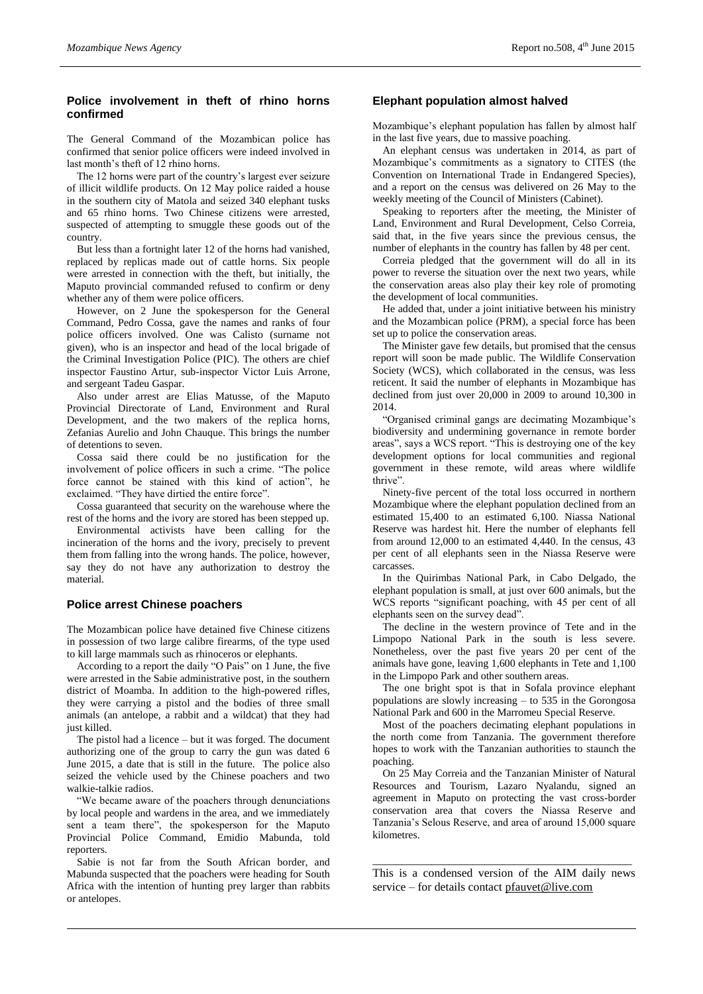## **Police involvement in theft of rhino horns confirmed**

The General Command of the Mozambican police has confirmed that senior police officers were indeed involved in last month's theft of 12 rhino horns.

The 12 horns were part of the country's largest ever seizure of illicit wildlife products. On 12 May police raided a house in the southern city of Matola and seized 340 elephant tusks and 65 rhino horns. Two Chinese citizens were arrested, suspected of attempting to smuggle these goods out of the country.

But less than a fortnight later 12 of the horns had vanished, replaced by replicas made out of cattle horns. Six people were arrested in connection with the theft, but initially, the Maputo provincial commanded refused to confirm or deny whether any of them were police officers.

However, on 2 June the spokesperson for the General Command, Pedro Cossa, gave the names and ranks of four police officers involved. One was Calisto (surname not given), who is an inspector and head of the local brigade of the Criminal Investigation Police (PIC). The others are chief inspector Faustino Artur, sub-inspector Victor Luis Arrone, and sergeant Tadeu Gaspar.

Also under arrest are Elias Matusse, of the Maputo Provincial Directorate of Land, Environment and Rural Development, and the two makers of the replica horns, Zefanias Aurelio and John Chauque. This brings the number of detentions to seven.

Cossa said there could be no justification for the involvement of police officers in such a crime. "The police force cannot be stained with this kind of action", he exclaimed. "They have dirtied the entire force".

Cossa guaranteed that security on the warehouse where the rest of the horns and the ivory are stored has been stepped up.

Environmental activists have been calling for the incineration of the horns and the ivory, precisely to prevent them from falling into the wrong hands. The police, however, say they do not have any authorization to destroy the material.

## **Police arrest Chinese poachers**

The Mozambican police have detained five Chinese citizens in possession of two large calibre firearms, of the type used to kill large mammals such as rhinoceros or elephants.

According to a report the daily "O Pais" on 1 June, the five were arrested in the Sabie administrative post, in the southern district of Moamba. In addition to the high-powered rifles, they were carrying a pistol and the bodies of three small animals (an antelope, a rabbit and a wildcat) that they had just killed.

The pistol had a licence – but it was forged. The document authorizing one of the group to carry the gun was dated 6 June 2015, a date that is still in the future. The police also seized the vehicle used by the Chinese poachers and two walkie-talkie radios.

"We became aware of the poachers through denunciations by local people and wardens in the area, and we immediately sent a team there", the spokesperson for the Maputo Provincial Police Command, Emidio Mabunda, told reporters.

Sabie is not far from the South African border, and Mabunda suspected that the poachers were heading for South Africa with the intention of hunting prey larger than rabbits or antelopes.

## **Elephant population almost halved**

Mozambique's elephant population has fallen by almost half in the last five years, due to massive poaching.

An elephant census was undertaken in 2014, as part of Mozambique's commitments as a signatory to CITES (the Convention on International Trade in Endangered Species), and a report on the census was delivered on 26 May to the weekly meeting of the Council of Ministers (Cabinet).

Speaking to reporters after the meeting, the Minister of Land, Environment and Rural Development, Celso Correia, said that, in the five years since the previous census, the number of elephants in the country has fallen by 48 per cent.

Correia pledged that the government will do all in its power to reverse the situation over the next two years, while the conservation areas also play their key role of promoting the development of local communities.

He added that, under a joint initiative between his ministry and the Mozambican police (PRM), a special force has been set up to police the conservation areas.

The Minister gave few details, but promised that the census report will soon be made public. The Wildlife Conservation Society (WCS), which collaborated in the census, was less reticent. It said the number of elephants in Mozambique has declined from just over 20,000 in 2009 to around 10,300 in 2014.

"Organised criminal gangs are decimating Mozambique's biodiversity and undermining governance in remote border areas", says a WCS report. "This is destroying one of the key development options for local communities and regional government in these remote, wild areas where wildlife thrive".

Ninety-five percent of the total loss occurred in northern Mozambique where the elephant population declined from an estimated 15,400 to an estimated 6,100. Niassa National Reserve was hardest hit. Here the number of elephants fell from around 12,000 to an estimated 4,440. In the census, 43 per cent of all elephants seen in the Niassa Reserve were carcasses.

In the Quirimbas National Park, in Cabo Delgado, the elephant population is small, at just over 600 animals, but the WCS reports "significant poaching, with 45 per cent of all elephants seen on the survey dead".

The decline in the western province of Tete and in the Limpopo National Park in the south is less severe. Nonetheless, over the past five years 20 per cent of the animals have gone, leaving 1,600 elephants in Tete and 1,100 in the Limpopo Park and other southern areas.

The one bright spot is that in Sofala province elephant populations are slowly increasing – to 535 in the Gorongosa National Park and 600 in the Marromeu Special Reserve.

Most of the poachers decimating elephant populations in the north come from Tanzania. The government therefore hopes to work with the Tanzanian authorities to staunch the poaching.

On 25 May Correia and the Tanzanian Minister of Natural Resources and Tourism, Lazaro Nyalandu, signed an agreement in Maputo on protecting the vast cross-border conservation area that covers the Niassa Reserve and Tanzania's Selous Reserve, and area of around 15,000 square kilometres.

\_\_\_\_\_\_\_\_\_\_\_\_\_\_\_\_\_\_\_\_\_\_\_\_\_\_\_\_\_\_\_\_\_\_\_\_\_\_\_\_\_\_\_\_ This is a condensed version of the AIM daily news service – for details contact [pfauvet@live.com](mailto:pfauvet@live.com)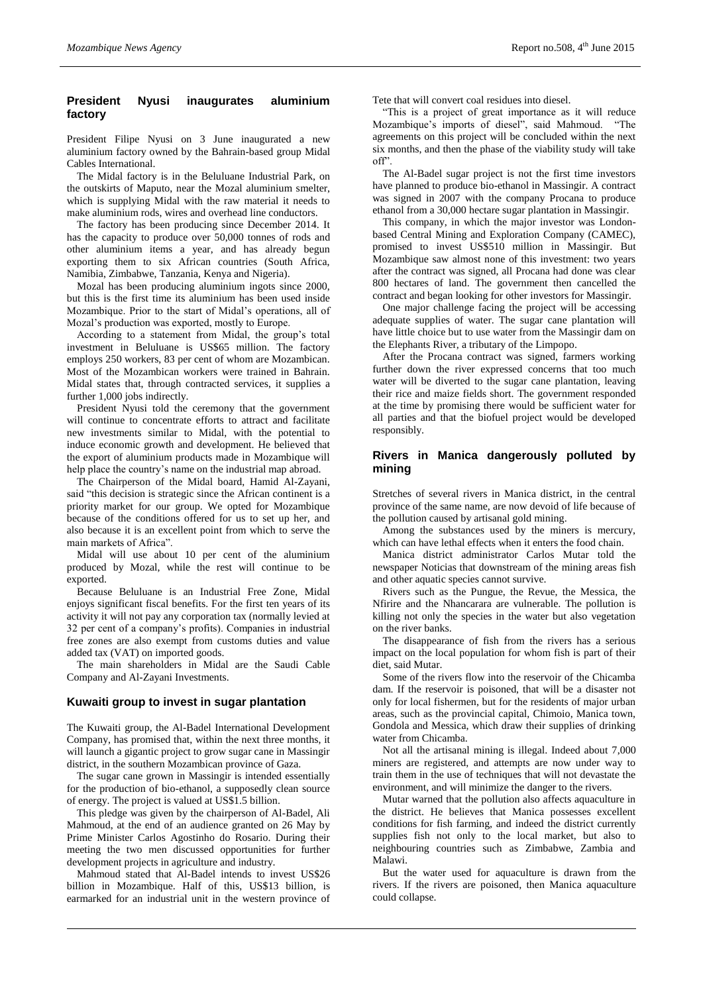## **President Nyusi inaugurates aluminium factory**

President Filipe Nyusi on 3 June inaugurated a new aluminium factory owned by the Bahrain-based group Midal Cables International.

The Midal factory is in the Beluluane Industrial Park, on the outskirts of Maputo, near the Mozal aluminium smelter, which is supplying Midal with the raw material it needs to make aluminium rods, wires and overhead line conductors.

The factory has been producing since December 2014. It has the capacity to produce over 50,000 tonnes of rods and other aluminium items a year, and has already begun exporting them to six African countries (South Africa, Namibia, Zimbabwe, Tanzania, Kenya and Nigeria).

Mozal has been producing aluminium ingots since 2000, but this is the first time its aluminium has been used inside Mozambique. Prior to the start of Midal's operations, all of Mozal's production was exported, mostly to Europe.

According to a statement from Midal, the group's total investment in Beluluane is US\$65 million. The factory employs 250 workers, 83 per cent of whom are Mozambican. Most of the Mozambican workers were trained in Bahrain. Midal states that, through contracted services, it supplies a further 1,000 jobs indirectly.

President Nyusi told the ceremony that the government will continue to concentrate efforts to attract and facilitate new investments similar to Midal, with the potential to induce economic growth and development. He believed that the export of aluminium products made in Mozambique will help place the country's name on the industrial map abroad.

The Chairperson of the Midal board, Hamid Al-Zayani, said "this decision is strategic since the African continent is a priority market for our group. We opted for Mozambique because of the conditions offered for us to set up her, and also because it is an excellent point from which to serve the main markets of Africa".

Midal will use about 10 per cent of the aluminium produced by Mozal, while the rest will continue to be exported.

Because Beluluane is an Industrial Free Zone, Midal enjoys significant fiscal benefits. For the first ten years of its activity it will not pay any corporation tax (normally levied at 32 per cent of a company's profits). Companies in industrial free zones are also exempt from customs duties and value added tax (VAT) on imported goods.

The main shareholders in Midal are the Saudi Cable Company and Al-Zayani Investments.

#### **Kuwaiti group to invest in sugar plantation**

The Kuwaiti group, the Al-Badel International Development Company, has promised that, within the next three months, it will launch a gigantic project to grow sugar cane in Massingir district, in the southern Mozambican province of Gaza.

The sugar cane grown in Massingir is intended essentially for the production of bio-ethanol, a supposedly clean source of energy. The project is valued at US\$1.5 billion.

This pledge was given by the chairperson of Al-Badel, Ali Mahmoud, at the end of an audience granted on 26 May by Prime Minister Carlos Agostinho do Rosario. During their meeting the two men discussed opportunities for further development projects in agriculture and industry.

Mahmoud stated that Al-Badel intends to invest US\$26 billion in Mozambique. Half of this, US\$13 billion, is earmarked for an industrial unit in the western province of Tete that will convert coal residues into diesel.

"This is a project of great importance as it will reduce Mozambique's imports of diesel", said Mahmoud. "The agreements on this project will be concluded within the next six months, and then the phase of the viability study will take off".

The Al-Badel sugar project is not the first time investors have planned to produce bio-ethanol in Massingir. A contract was signed in 2007 with the company Procana to produce ethanol from a 30,000 hectare sugar plantation in Massingir.

This company, in which the major investor was Londonbased Central Mining and Exploration Company (CAMEC), promised to invest US\$510 million in Massingir. But Mozambique saw almost none of this investment: two years after the contract was signed, all Procana had done was clear 800 hectares of land. The government then cancelled the contract and began looking for other investors for Massingir.

One major challenge facing the project will be accessing adequate supplies of water. The sugar cane plantation will have little choice but to use water from the Massingir dam on the Elephants River, a tributary of the Limpopo.

After the Procana contract was signed, farmers working further down the river expressed concerns that too much water will be diverted to the sugar cane plantation, leaving their rice and maize fields short. The government responded at the time by promising there would be sufficient water for all parties and that the biofuel project would be developed responsibly.

## **Rivers in Manica dangerously polluted by mining**

Stretches of several rivers in Manica district, in the central province of the same name, are now devoid of life because of the pollution caused by artisanal gold mining.

Among the substances used by the miners is mercury, which can have lethal effects when it enters the food chain.

Manica district administrator Carlos Mutar told the newspaper Noticias that downstream of the mining areas fish and other aquatic species cannot survive.

Rivers such as the Pungue, the Revue, the Messica, the Nfirire and the Nhancarara are vulnerable. The pollution is killing not only the species in the water but also vegetation on the river banks.

The disappearance of fish from the rivers has a serious impact on the local population for whom fish is part of their diet, said Mutar.

Some of the rivers flow into the reservoir of the Chicamba dam. If the reservoir is poisoned, that will be a disaster not only for local fishermen, but for the residents of major urban areas, such as the provincial capital, Chimoio, Manica town, Gondola and Messica, which draw their supplies of drinking water from Chicamba.

Not all the artisanal mining is illegal. Indeed about 7,000 miners are registered, and attempts are now under way to train them in the use of techniques that will not devastate the environment, and will minimize the danger to the rivers.

Mutar warned that the pollution also affects aquaculture in the district. He believes that Manica possesses excellent conditions for fish farming, and indeed the district currently supplies fish not only to the local market, but also to neighbouring countries such as Zimbabwe, Zambia and Malawi.

But the water used for aquaculture is drawn from the rivers. If the rivers are poisoned, then Manica aquaculture could collapse.